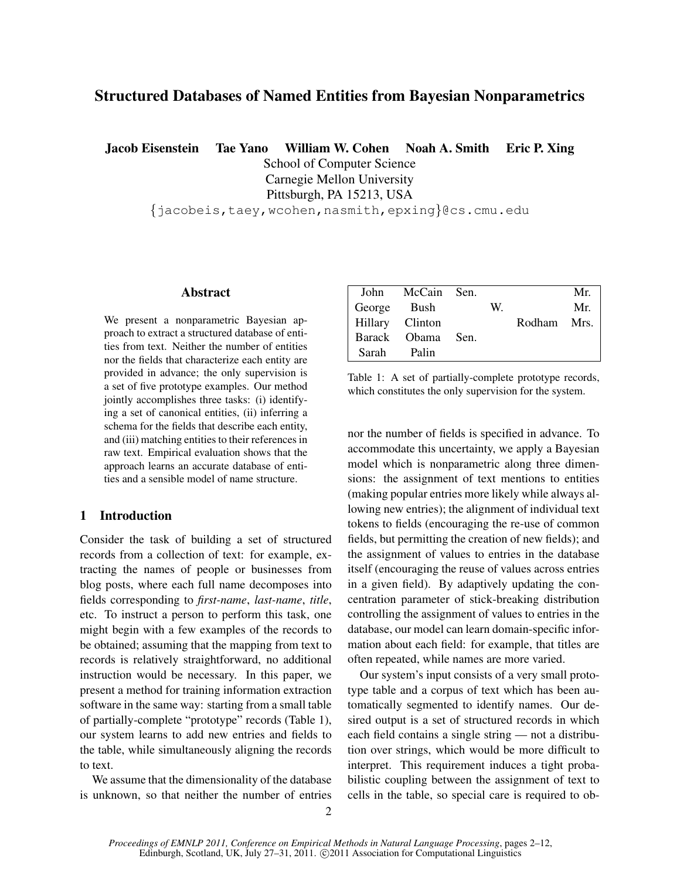# Structured Databases of Named Entities from Bayesian Nonparametrics

Jacob Eisenstein Tae Yano William W. Cohen Noah A. Smith Eric P. Xing

School of Computer Science Carnegie Mellon University

Pittsburgh, PA 15213, USA

{jacobeis,taey,wcohen,nasmith,epxing}@cs.cmu.edu

### Abstract

We present a nonparametric Bayesian approach to extract a structured database of entities from text. Neither the number of entities nor the fields that characterize each entity are provided in advance; the only supervision is a set of five prototype examples. Our method jointly accomplishes three tasks: (i) identifying a set of canonical entities, (ii) inferring a schema for the fields that describe each entity, and (iii) matching entities to their references in raw text. Empirical evaluation shows that the approach learns an accurate database of entities and a sensible model of name structure.

## 1 Introduction

Consider the task of building a set of structured records from a collection of text: for example, extracting the names of people or businesses from blog posts, where each full name decomposes into fields corresponding to *first-name*, *last-name*, *title*, etc. To instruct a person to perform this task, one might begin with a few examples of the records to be obtained; assuming that the mapping from text to records is relatively straightforward, no additional instruction would be necessary. In this paper, we present a method for training information extraction software in the same way: starting from a small table of partially-complete "prototype" records (Table 1), our system learns to add new entries and fields to the table, while simultaneously aligning the records to text.

We assume that the dimensionality of the database is unknown, so that neither the number of entries

|             | John McCain Sen.  |    |             | Mr. |
|-------------|-------------------|----|-------------|-----|
| George Bush |                   | W. |             | Mr. |
|             | Hillary Clinton   |    | Rodham Mrs. |     |
|             | Barack Obama Sen. |    |             |     |
| Sarah       | Palin             |    |             |     |

Table 1: A set of partially-complete prototype records, which constitutes the only supervision for the system.

nor the number of fields is specified in advance. To accommodate this uncertainty, we apply a Bayesian model which is nonparametric along three dimensions: the assignment of text mentions to entities (making popular entries more likely while always allowing new entries); the alignment of individual text tokens to fields (encouraging the re-use of common fields, but permitting the creation of new fields); and the assignment of values to entries in the database itself (encouraging the reuse of values across entries in a given field). By adaptively updating the concentration parameter of stick-breaking distribution controlling the assignment of values to entries in the database, our model can learn domain-specific information about each field: for example, that titles are often repeated, while names are more varied.

Our system's input consists of a very small prototype table and a corpus of text which has been automatically segmented to identify names. Our desired output is a set of structured records in which each field contains a single string — not a distribution over strings, which would be more difficult to interpret. This requirement induces a tight probabilistic coupling between the assignment of text to cells in the table, so special care is required to ob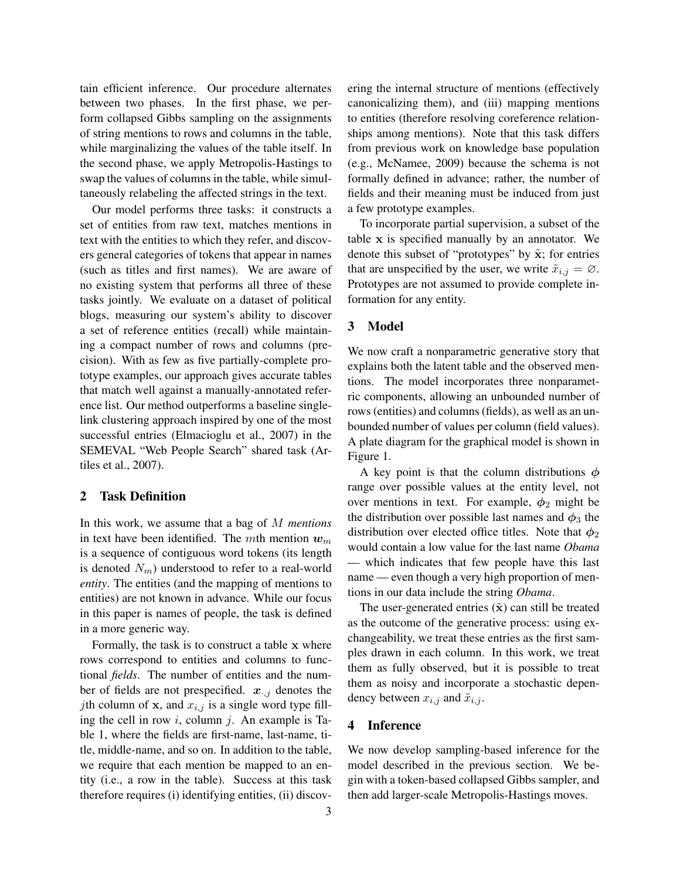tain efficient inference. Our procedure alternates between two phases. In the first phase, we perform collapsed Gibbs sampling on the assignments of string mentions to rows and columns in the table, while marginalizing the values of the table itself. In the second phase, we apply Metropolis-Hastings to swap the values of columns in the table, while simultaneously relabeling the affected strings in the text.

Our model performs three tasks: it constructs a set of entities from raw text, matches mentions in text with the entities to which they refer, and discovers general categories of tokens that appear in names (such as titles and first names). We are aware of no existing system that performs all three of these tasks jointly. We evaluate on a dataset of political blogs, measuring our system's ability to discover a set of reference entities (recall) while maintaining a compact number of rows and columns (precision). With as few as five partially-complete prototype examples, our approach gives accurate tables that match well against a manually-annotated reference list. Our method outperforms a baseline singlelink clustering approach inspired by one of the most successful entries (Elmacioglu et al., 2007) in the SEMEVAL "Web People Search" shared task (Artiles et al., 2007).

## 2 Task Definition

In this work, we assume that a bag of M *mentions* in text have been identified. The mth mention  $w_m$ is a sequence of contiguous word tokens (its length is denoted  $N_m$ ) understood to refer to a real-world *entity*. The entities (and the mapping of mentions to entities) are not known in advance. While our focus in this paper is names of people, the task is defined in a more generic way.

Formally, the task is to construct a table x where rows correspond to entities and columns to functional *fields*. The number of entities and the number of fields are not prespecified.  $x_{\cdot,j}$  denotes the *j*th column of x, and  $x_{i,j}$  is a single word type filling the cell in row  $i$ , column  $j$ . An example is Table 1, where the fields are first-name, last-name, title, middle-name, and so on. In addition to the table, we require that each mention be mapped to an entity (i.e., a row in the table). Success at this task therefore requires (i) identifying entities, (ii) discovering the internal structure of mentions (effectively canonicalizing them), and (iii) mapping mentions to entities (therefore resolving coreference relationships among mentions). Note that this task differs from previous work on knowledge base population (e.g., McNamee, 2009) because the schema is not formally defined in advance; rather, the number of fields and their meaning must be induced from just a few prototype examples.

To incorporate partial supervision, a subset of the table x is specified manually by an annotator. We denote this subset of "prototypes" by  $\tilde{\mathbf{x}}$ ; for entries that are unspecified by the user, we write  $\tilde{x}_{i,j} = \emptyset$ . Prototypes are not assumed to provide complete information for any entity.

## 3 Model

We now craft a nonparametric generative story that explains both the latent table and the observed mentions. The model incorporates three nonparametric components, allowing an unbounded number of rows (entities) and columns (fields), as well as an unbounded number of values per column (field values). A plate diagram for the graphical model is shown in Figure 1.

A key point is that the column distributions  $\phi$ range over possible values at the entity level, not over mentions in text. For example,  $\phi_2$  might be the distribution over possible last names and  $\phi_3$  the distribution over elected office titles. Note that  $\phi_2$ would contain a low value for the last name *Obama* — which indicates that few people have this last name — even though a very high proportion of mentions in our data include the string *Obama*.

The user-generated entries  $(\tilde{x})$  can still be treated as the outcome of the generative process: using exchangeability, we treat these entries as the first samples drawn in each column. In this work, we treat them as fully observed, but it is possible to treat them as noisy and incorporate a stochastic dependency between  $x_{i,j}$  and  $\tilde{x}_{i,j}$ .

### 4 Inference

We now develop sampling-based inference for the model described in the previous section. We begin with a token-based collapsed Gibbs sampler, and then add larger-scale Metropolis-Hastings moves.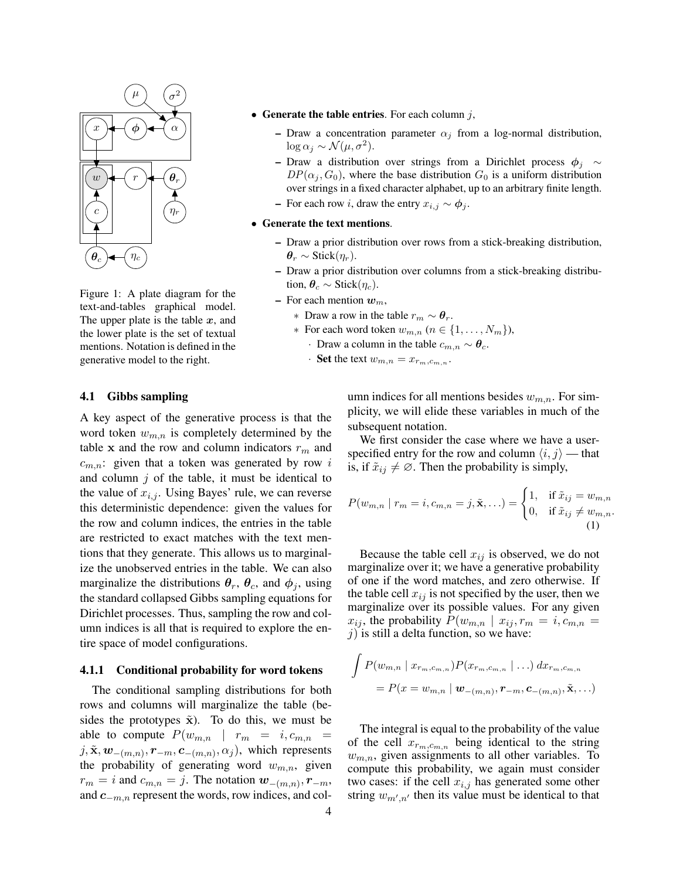

Figure 1: A plate diagram for the text-and-tables graphical model. The upper plate is the table  $x$ , and the lower plate is the set of textual mentions. Notation is defined in the generative model to the right.

- Generate the table entries. For each column  $j$ ,
	- Draw a concentration parameter  $\alpha_j$  from a log-normal distribution,  $\log \alpha_j \sim \mathcal{N}(\mu, \sigma^2).$
	- Draw a distribution over strings from a Dirichlet process  $\phi_j \sim$  $DP(\alpha_j, G_0)$ , where the base distribution  $G_0$  is a uniform distribution over strings in a fixed character alphabet, up to an arbitrary finite length. – For each row *i*, draw the entry  $x_{i,j} \sim \phi_j$ .
- Generate the text mentions.
	- Draw a prior distribution over rows from a stick-breaking distribution,  $\theta_r \sim \text{Stick}(\eta_r)$ .
	- Draw a prior distribution over columns from a stick-breaking distribution,  $\theta_c \sim \text{Stick}(\eta_c)$ .
	- For each mention  $w_m$ ,
		- ∗ Draw a row in the table  $r_m \sim \theta_r$ .
		- ∗ For each word token  $w_{m,n}$  ( $n \in \{1, \ldots, N_m\}$ ),
			- · Draw a column in the table  $c_{m,n} \sim \theta_c$ .
			- $\cdot$  Set the text  $w_{m,n} = x_{r_m,c_{m,n}}$ .

## 4.1 Gibbs sampling

A key aspect of the generative process is that the word token  $w_{m,n}$  is completely determined by the table x and the row and column indicators  $r_m$  and  $c_{m,n}$ : given that a token was generated by row i and column  $j$  of the table, it must be identical to the value of  $x_{i,j}$ . Using Bayes' rule, we can reverse this deterministic dependence: given the values for the row and column indices, the entries in the table are restricted to exact matches with the text mentions that they generate. This allows us to marginalize the unobserved entries in the table. We can also marginalize the distributions  $\theta_r$ ,  $\theta_c$ , and  $\phi_j$ , using the standard collapsed Gibbs sampling equations for Dirichlet processes. Thus, sampling the row and column indices is all that is required to explore the entire space of model configurations.

#### 4.1.1 Conditional probability for word tokens

The conditional sampling distributions for both rows and columns will marginalize the table (besides the prototypes  $\tilde{x}$ ). To do this, we must be able to compute  $P(w_{m,n}$  |  $r_m = i, c_{m,n}$  =  $j, \tilde{\mathbf{x}}, \boldsymbol{w}_{-(m,n)}, \boldsymbol{r}_{-m}, \boldsymbol{c}_{-(m,n)}, \alpha_j)$ , which represents the probability of generating word  $w_{m,n}$ , given  $r_m = i$  and  $c_{m,n} = j$ . The notation  $\mathbf{w}_{-(m,n)}, \mathbf{r}_{-m},$ and  $c_{-m,n}$  represent the words, row indices, and column indices for all mentions besides  $w_{m,n}$ . For simplicity, we will elide these variables in much of the subsequent notation.

We first consider the case where we have a userspecified entry for the row and column  $\langle i, j \rangle$  — that is, if  $\tilde{x}_{ij} \neq \emptyset$ . Then the probability is simply,

$$
P(w_{m,n} \mid r_m = i, c_{m,n} = j, \tilde{\mathbf{x}}, \ldots) = \begin{cases} 1, & \text{if } \tilde{x}_{ij} = w_{m,n} \\ 0, & \text{if } \tilde{x}_{ij} \neq w_{m,n}. \end{cases} \tag{1}
$$

Because the table cell  $x_{ij}$  is observed, we do not marginalize over it; we have a generative probability of one if the word matches, and zero otherwise. If the table cell  $x_{ij}$  is not specified by the user, then we marginalize over its possible values. For any given  $x_{ij}$ , the probability  $P(w_{m,n} \mid x_{ij}, r_m = i, c_{m,n} = i)$  $j$ ) is still a delta function, so we have:

$$
\int P(w_{m,n} | x_{r_m,c_{m,n}}) P(x_{r_m,c_{m,n}} | ...) dx_{r_m,c_{m,n}}
$$
  
=  $P(x = w_{m,n} | \mathbf{w}_{-(m,n)}, \mathbf{r}_{-m}, \mathbf{c}_{-(m,n)}, \tilde{\mathbf{x}}, ...)$ 

The integral is equal to the probability of the value of the cell  $x_{r_m,c_{m,n}}$  being identical to the string  $w_{m,n}$ , given assignments to all other variables. To compute this probability, we again must consider two cases: if the cell  $x_{i,j}$  has generated some other string  $w_{m',n'}$  then its value must be identical to that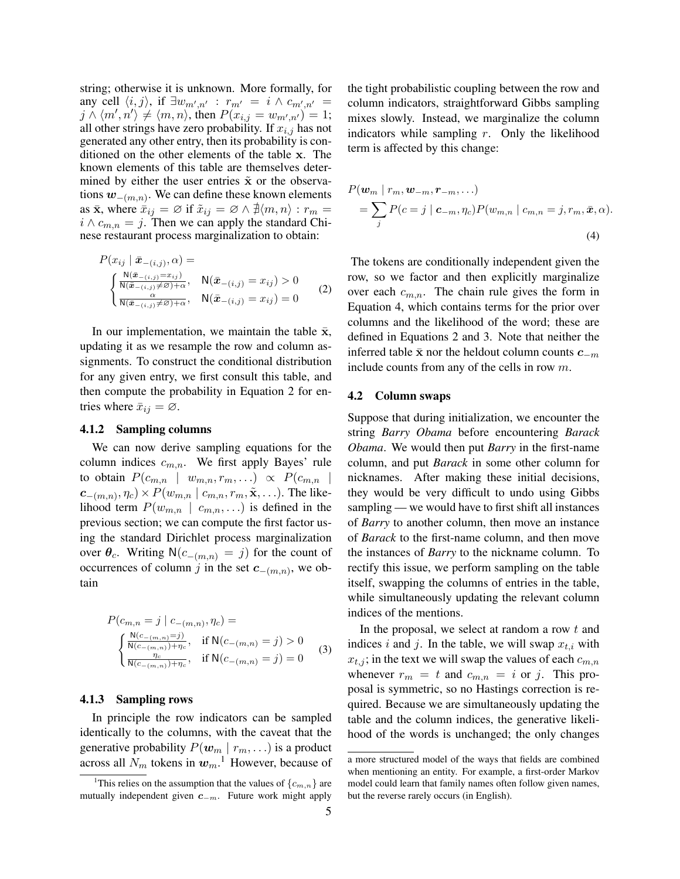string; otherwise it is unknown. More formally, for any cell  $\langle i, j \rangle$ , if  $\exists w_{m',n'} : r_{m'} = i \wedge c_{m',n'} =$  $j \wedge \langle m', n' \rangle \neq \langle m, n \rangle$ , then  $P(x_{i,j} = w_{m',n'}) = 1$ ; all other strings have zero probability. If  $x_{i,j}$  has not generated any other entry, then its probability is conditioned on the other elements of the table x. The known elements of this table are themselves determined by either the user entries  $\tilde{x}$  or the observations  $w_{-(m,n)}$ . We can define these known elements as  $\bar{\mathbf{x}}$ , where  $\bar{x}_{ij} = \emptyset$  if  $\tilde{x}_{ij} = \emptyset \wedge \bar{\mathcal{F}}(m, n) : r_m =$  $i \wedge c_{m,n} = j$ . Then we can apply the standard Chinese restaurant process marginalization to obtain:

$$
P(x_{ij} | \bar{x}_{-(i,j)}, \alpha) =
$$
  
\n
$$
\begin{cases}\n\frac{\mathsf{N}(\bar{x}_{-(i,j)} = x_{ij})}{\mathsf{N}(\bar{x}_{-(i,j)} = \bar{x}_{ij}) + \alpha}, & \mathsf{N}(\bar{x}_{-(i,j)} = x_{ij}) > 0 \\
\frac{\alpha}{\mathsf{N}(\bar{x}_{-(i,j)} \neq \beta) + \alpha}, & \mathsf{N}(\bar{x}_{-(i,j)} = x_{ij}) = 0\n\end{cases}
$$
\n(2)

In our implementation, we maintain the table  $\bar{x}$ , updating it as we resample the row and column assignments. To construct the conditional distribution for any given entry, we first consult this table, and then compute the probability in Equation 2 for entries where  $\bar{x}_{ij} = \emptyset$ .

#### 4.1.2 Sampling columns

We can now derive sampling equations for the column indices  $c_{m,n}$ . We first apply Bayes' rule to obtain  $P(c_{m,n} \mid w_{m,n}, r_m, ...) \propto P(c_{m,n} \mid$  $\mathbf{c}_{-(m,n)},\eta_c\rangle\times P(w_{m,n}\mid c_{m,n},r_m,\tilde{\mathbf{x}},\ldots)$ . The likelihood term  $P(w_{m,n} \mid c_{m,n}, \ldots)$  is defined in the previous section; we can compute the first factor using the standard Dirichlet process marginalization over  $\theta_c$ . Writing N( $c_{-(m,n)} = j$ ) for the count of occurrences of column *j* in the set  $c_{-(m,n)}$ , we obtain

$$
P(c_{m,n} = j \mid c_{-(m,n)}, \eta_c) =
$$
  
\n
$$
\begin{cases} \frac{\mathsf{N}(c_{-(m,n)}=j)}{\mathsf{N}(c_{-(m,n)})+\eta_c}, & \text{if } \mathsf{N}(c_{-(m,n)}=j) > 0\\ \frac{\eta_c}{\mathsf{N}(c_{-(m,n)})+\eta_c}, & \text{if } \mathsf{N}(c_{-(m,n)}=j) = 0 \end{cases}
$$
 (3)

#### 4.1.3 Sampling rows

In principle the row indicators can be sampled identically to the columns, with the caveat that the generative probability  $P(\mathbf{w}_m | r_m, ...)$  is a product across all  $N_m$  tokens in  $\boldsymbol{w}_m$ .<sup>1</sup> However, because of

the tight probabilistic coupling between the row and column indicators, straightforward Gibbs sampling mixes slowly. Instead, we marginalize the column indicators while sampling  $r$ . Only the likelihood term is affected by this change:

$$
P(\boldsymbol{w}_m \mid r_m, \boldsymbol{w}_{-m}, r_{-m}, \ldots)
$$
  
= 
$$
\sum_j P(c = j \mid \boldsymbol{c}_{-m}, \eta_c) P(\boldsymbol{w}_{m,n} \mid c_{m,n} = j, r_m, \bar{\boldsymbol{x}}, \alpha).
$$
  
(4)

The tokens are conditionally independent given the row, so we factor and then explicitly marginalize over each  $c_{m,n}$ . The chain rule gives the form in Equation 4, which contains terms for the prior over columns and the likelihood of the word; these are defined in Equations 2 and 3. Note that neither the inferred table  $\bar{x}$  nor the heldout column counts  $c_{-m}$ include counts from any of the cells in row m.

#### 4.2 Column swaps

Suppose that during initialization, we encounter the string *Barry Obama* before encountering *Barack Obama*. We would then put *Barry* in the first-name column, and put *Barack* in some other column for nicknames. After making these initial decisions, they would be very difficult to undo using Gibbs sampling — we would have to first shift all instances of *Barry* to another column, then move an instance of *Barack* to the first-name column, and then move the instances of *Barry* to the nickname column. To rectify this issue, we perform sampling on the table itself, swapping the columns of entries in the table, while simultaneously updating the relevant column indices of the mentions.

In the proposal, we select at random a row  $t$  and indices i and j. In the table, we will swap  $x_{t,i}$  with  $x_{t,i}$ ; in the text we will swap the values of each  $c_{m,n}$ whenever  $r_m = t$  and  $c_{m,n} = i$  or j. This proposal is symmetric, so no Hastings correction is required. Because we are simultaneously updating the table and the column indices, the generative likelihood of the words is unchanged; the only changes

<sup>&</sup>lt;sup>1</sup>This relies on the assumption that the values of  $\{c_{m,n}\}\$ are mutually independent given  $c_{-m}$ . Future work might apply

a more structured model of the ways that fields are combined when mentioning an entity. For example, a first-order Markov model could learn that family names often follow given names, but the reverse rarely occurs (in English).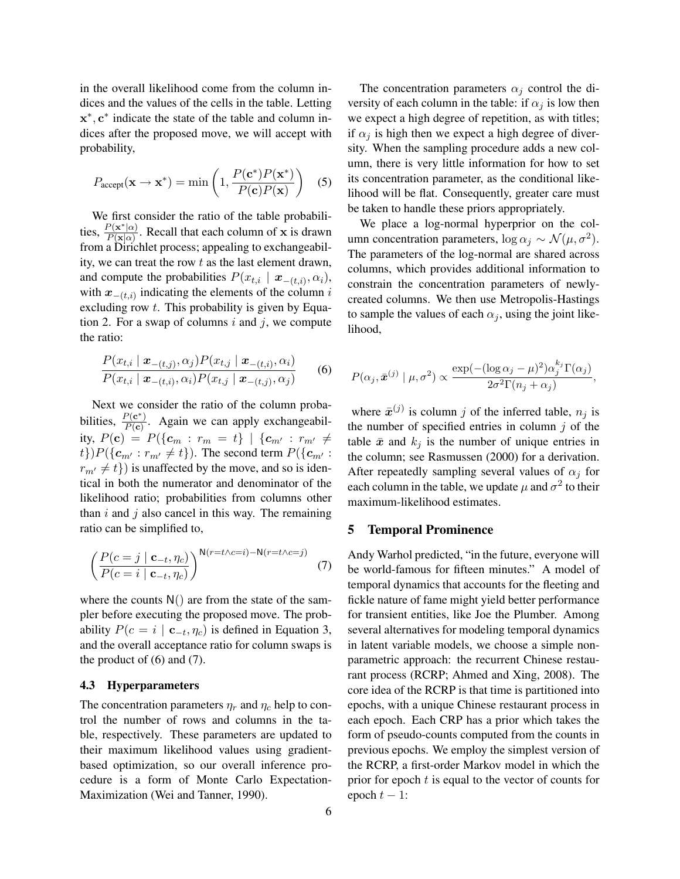in the overall likelihood come from the column indices and the values of the cells in the table. Letting  $x^*$ ,  $c^*$  indicate the state of the table and column indices after the proposed move, we will accept with probability,

$$
P_{\text{accept}}(\mathbf{x} \to \mathbf{x}^*) = \min\left(1, \frac{P(\mathbf{c}^*)P(\mathbf{x}^*)}{P(\mathbf{c})P(\mathbf{x})}\right) \quad (5)
$$

We first consider the ratio of the table probabilities,  $\frac{P(\mathbf{x}^*|\alpha)}{P(\mathbf{x}|\alpha)}$  $\frac{P(\mathbf{x} \mid \alpha)}{P(\mathbf{x} \mid \alpha)}$ . Recall that each column of x is drawn from a Dirichlet process; appealing to exchangeability, we can treat the row  $t$  as the last element drawn, and compute the probabilities  $P(x_{t,i} | \mathbf{x}_{-(t,i)}, \alpha_i)$ , with  $x_{-(t,i)}$  indicating the elements of the column i excluding row  $t$ . This probability is given by Equation 2. For a swap of columns  $i$  and  $j$ , we compute the ratio:

$$
\frac{P(x_{t,i} \mid \boldsymbol{x}_{-(t,j)}, \alpha_j) P(x_{t,j} \mid \boldsymbol{x}_{-(t,i)}, \alpha_i)}{P(x_{t,i} \mid \boldsymbol{x}_{-(t,i)}, \alpha_i) P(x_{t,j} \mid \boldsymbol{x}_{-(t,j)}, \alpha_j)} \qquad (6)
$$

Next we consider the ratio of the column probabilities,  $\frac{P(c^*)}{P(c)}$  $\frac{P(e^{-})}{P(e)}$ . Again we can apply exchangeability,  $P(c) = P({c_m : r_m = t} \mid {c_{m'} : r_{m'} \neq t})$  $t\}$ ) $P({c_{m'} : r_{m'} \neq t})$ . The second term  $P({c_{m'} : r_{m'} \neq t})$ .  $r_{m'} \neq t$ ) is unaffected by the move, and so is identical in both the numerator and denominator of the likelihood ratio; probabilities from columns other than  $i$  and  $j$  also cancel in this way. The remaining ratio can be simplified to,

$$
\left(\frac{P(c=j \mid \mathbf{c}_{-t}, \eta_c)}{P(c=i \mid \mathbf{c}_{-t}, \eta_c)}\right)^{\mathsf{N}(r=t \wedge c=i) - \mathsf{N}(r=t \wedge c=j)}\tag{7}
$$

where the counts  $N()$  are from the state of the sampler before executing the proposed move. The probability  $P(c = i \mid \mathbf{c}_{-t}, \eta_c)$  is defined in Equation 3, and the overall acceptance ratio for column swaps is the product of  $(6)$  and  $(7)$ .

#### 4.3 Hyperparameters

The concentration parameters  $\eta_r$  and  $\eta_c$  help to control the number of rows and columns in the table, respectively. These parameters are updated to their maximum likelihood values using gradientbased optimization, so our overall inference procedure is a form of Monte Carlo Expectation-Maximization (Wei and Tanner, 1990).

The concentration parameters  $\alpha_j$  control the diversity of each column in the table: if  $\alpha_j$  is low then we expect a high degree of repetition, as with titles; if  $\alpha_i$  is high then we expect a high degree of diversity. When the sampling procedure adds a new column, there is very little information for how to set its concentration parameter, as the conditional likelihood will be flat. Consequently, greater care must be taken to handle these priors appropriately.

We place a log-normal hyperprior on the column concentration parameters,  $\log \alpha_j \sim \mathcal{N}(\mu, \sigma^2)$ . The parameters of the log-normal are shared across columns, which provides additional information to constrain the concentration parameters of newlycreated columns. We then use Metropolis-Hastings to sample the values of each  $\alpha_i$ , using the joint likelihood,

$$
P(\alpha_j, \bar{\boldsymbol{x}}^{(j)} \mid \mu, \sigma^2) \propto \frac{\exp(-(\log \alpha_j - \mu)^2) \alpha_j^{k_j} \Gamma(\alpha_j)}{2\sigma^2 \Gamma(n_j + \alpha_j)},
$$

where  $\bar{x}^{(j)}$  is column j of the inferred table,  $n_j$  is the number of specified entries in column  $j$  of the table  $\bar{x}$  and  $k_i$  is the number of unique entries in the column; see Rasmussen (2000) for a derivation. After repeatedly sampling several values of  $\alpha_i$  for each column in the table, we update  $\mu$  and  $\sigma^2$  to their maximum-likelihood estimates.

#### 5 Temporal Prominence

Andy Warhol predicted, "in the future, everyone will be world-famous for fifteen minutes." A model of temporal dynamics that accounts for the fleeting and fickle nature of fame might yield better performance for transient entities, like Joe the Plumber. Among several alternatives for modeling temporal dynamics in latent variable models, we choose a simple nonparametric approach: the recurrent Chinese restaurant process (RCRP; Ahmed and Xing, 2008). The core idea of the RCRP is that time is partitioned into epochs, with a unique Chinese restaurant process in each epoch. Each CRP has a prior which takes the form of pseudo-counts computed from the counts in previous epochs. We employ the simplest version of the RCRP, a first-order Markov model in which the prior for epoch  $t$  is equal to the vector of counts for epoch  $t - 1$ :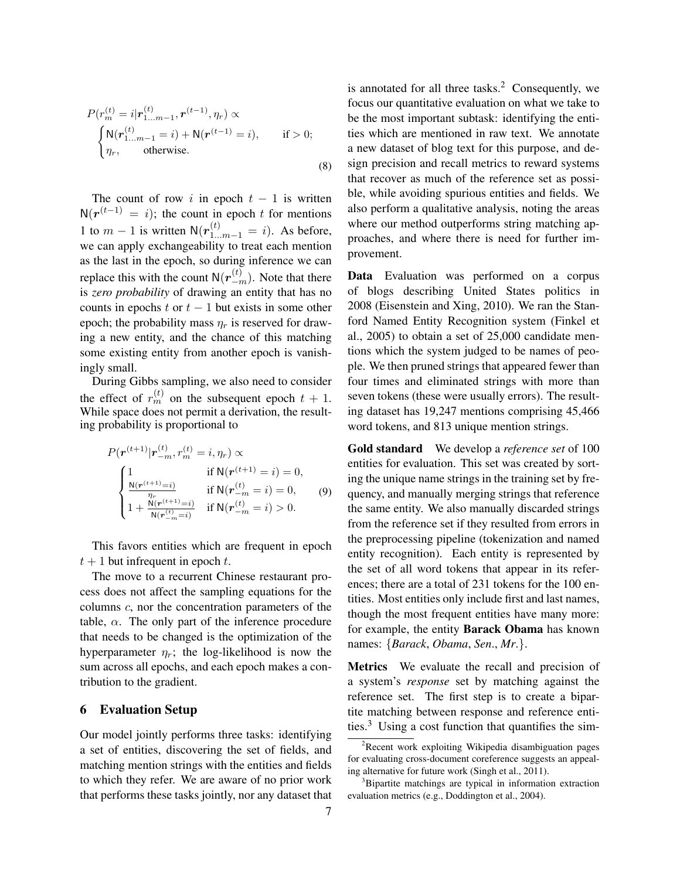$$
P(r_m^{(t)} = i | r_{1...m-1}^{(t)}, r^{(t-1)}, \eta_r) \propto
$$
  
\n
$$
\begin{cases}\nN(r_{1...m-1}^{(t)} = i) + N(r^{(t-1)} = i), & \text{if} > 0; \\
\eta_r, & \text{otherwise.} \n\end{cases}
$$
\n(8)

The count of row i in epoch  $t - 1$  is written  $N(r^{(t-1)} = i)$ ; the count in epoch t for mentions 1 to  $m-1$  is written  $N(r_{1...m-1}^{(t)} = i)$ . As before, we can apply exchangeability to treat each mention as the last in the epoch, so during inference we can replace this with the count  $N(r_{-m}^{(t)})$ . Note that there is *zero probability* of drawing an entity that has no counts in epochs t or  $t - 1$  but exists in some other epoch; the probability mass  $\eta_r$  is reserved for drawing a new entity, and the chance of this matching some existing entity from another epoch is vanishingly small.

During Gibbs sampling, we also need to consider the effect of  $r_m^{(t)}$  on the subsequent epoch  $t + 1$ . While space does not permit a derivation, the resulting probability is proportional to

$$
P(\mathbf{r}^{(t+1)}|\mathbf{r}_{-m}^{(t)}, r_m^{(t)} = i, \eta_r) \propto
$$
  

$$
\begin{cases} 1 & \text{if } \mathsf{N}(\mathbf{r}^{(t+1)} = i) = 0, \\ \frac{\mathsf{N}(\mathbf{r}^{(t+1)} = i)}{\eta_r} & \text{if } \mathsf{N}(\mathbf{r}_{-m}^{(t)} = i) = 0, \\ 1 + \frac{\mathsf{N}(\mathbf{r}^{(t+1)} = i)}{\mathsf{N}(\mathbf{r}_{-m}^{(t)} = i)} & \text{if } \mathsf{N}(\mathbf{r}_{-m}^{(t)} = i) > 0. \end{cases}
$$
(9)

This favors entities which are frequent in epoch  $t + 1$  but infrequent in epoch t.

The move to a recurrent Chinese restaurant process does not affect the sampling equations for the columns c, nor the concentration parameters of the table,  $\alpha$ . The only part of the inference procedure that needs to be changed is the optimization of the hyperparameter  $\eta_r$ ; the log-likelihood is now the sum across all epochs, and each epoch makes a contribution to the gradient.

### 6 Evaluation Setup

Our model jointly performs three tasks: identifying a set of entities, discovering the set of fields, and matching mention strings with the entities and fields to which they refer. We are aware of no prior work that performs these tasks jointly, nor any dataset that

is annotated for all three tasks. $<sup>2</sup>$  Consequently, we</sup> focus our quantitative evaluation on what we take to be the most important subtask: identifying the entities which are mentioned in raw text. We annotate a new dataset of blog text for this purpose, and design precision and recall metrics to reward systems that recover as much of the reference set as possible, while avoiding spurious entities and fields. We also perform a qualitative analysis, noting the areas where our method outperforms string matching approaches, and where there is need for further improvement.

Data Evaluation was performed on a corpus of blogs describing United States politics in 2008 (Eisenstein and Xing, 2010). We ran the Stanford Named Entity Recognition system (Finkel et al., 2005) to obtain a set of 25,000 candidate mentions which the system judged to be names of people. We then pruned strings that appeared fewer than four times and eliminated strings with more than seven tokens (these were usually errors). The resulting dataset has 19,247 mentions comprising 45,466 word tokens, and 813 unique mention strings.

Gold standard We develop a *reference set* of 100 entities for evaluation. This set was created by sorting the unique name strings in the training set by frequency, and manually merging strings that reference the same entity. We also manually discarded strings from the reference set if they resulted from errors in the preprocessing pipeline (tokenization and named entity recognition). Each entity is represented by the set of all word tokens that appear in its references; there are a total of 231 tokens for the 100 entities. Most entities only include first and last names, though the most frequent entities have many more: for example, the entity Barack Obama has known names: {*Barack*, *Obama*, *Sen*., *Mr*.}.

Metrics We evaluate the recall and precision of a system's *response* set by matching against the reference set. The first step is to create a bipartite matching between response and reference entities.<sup>3</sup> Using a cost function that quantifies the sim-

 $2$ Recent work exploiting Wikipedia disambiguation pages for evaluating cross-document coreference suggests an appealing alternative for future work (Singh et al., 2011).

<sup>&</sup>lt;sup>3</sup>Bipartite matchings are typical in information extraction evaluation metrics (e.g., Doddington et al., 2004).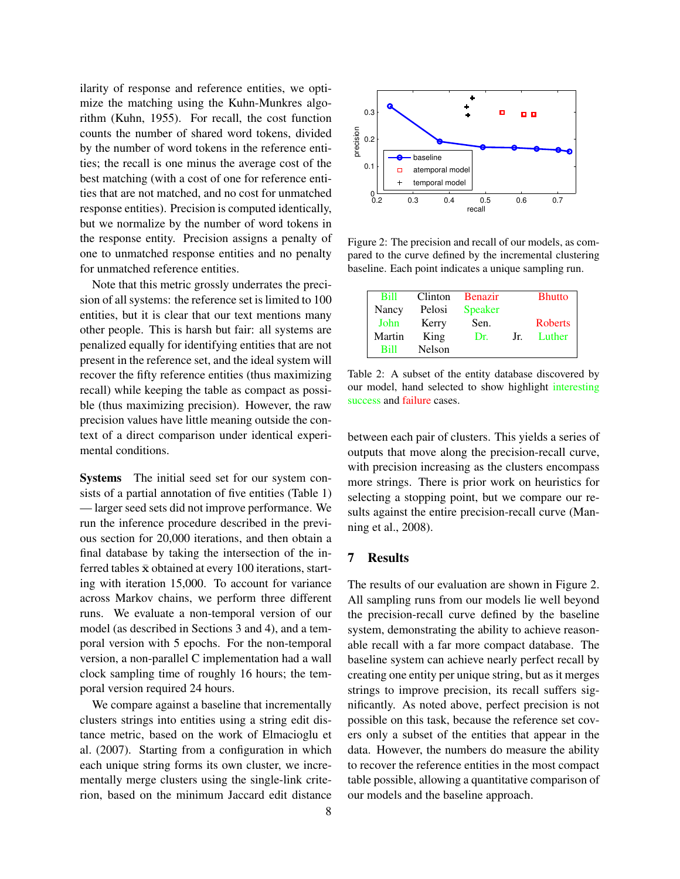ilarity of response and reference entities, we optimize the matching using the Kuhn-Munkres algorithm (Kuhn, 1955). For recall, the cost function counts the number of shared word tokens, divided by the number of word tokens in the reference entities; the recall is one minus the average cost of the best matching (with a cost of one for reference entities that are not matched, and no cost for unmatched response entities). Precision is computed identically, but we normalize by the number of word tokens in the response entity. Precision assigns a penalty of one to unmatched response entities and no penalty for unmatched reference entities.

Note that this metric grossly underrates the precision of all systems: the reference set is limited to 100 entities, but it is clear that our text mentions many other people. This is harsh but fair: all systems are penalized equally for identifying entities that are not present in the reference set, and the ideal system will recover the fifty reference entities (thus maximizing recall) while keeping the table as compact as possible (thus maximizing precision). However, the raw precision values have little meaning outside the context of a direct comparison under identical experimental conditions.

Systems The initial seed set for our system consists of a partial annotation of five entities (Table 1) — larger seed sets did not improve performance. We run the inference procedure described in the previous section for 20,000 iterations, and then obtain a final database by taking the intersection of the inferred tables  $\bar{x}$  obtained at every 100 iterations, starting with iteration 15,000. To account for variance across Markov chains, we perform three different runs. We evaluate a non-temporal version of our model (as described in Sections 3 and 4), and a temporal version with 5 epochs. For the non-temporal version, a non-parallel C implementation had a wall clock sampling time of roughly 16 hours; the temporal version required 24 hours.

We compare against a baseline that incrementally clusters strings into entities using a string edit distance metric, based on the work of Elmacioglu et al. (2007). Starting from a configuration in which each unique string forms its own cluster, we incrementally merge clusters using the single-link criterion, based on the minimum Jaccard edit distance



Figure 2: The precision and recall of our models, as compared to the curve defined by the incremental clustering baseline. Each point indicates a unique sampling run.

| <b>Bill</b> | Clinton | <b>Benazir</b> |     | <b>Bhutto</b>  |
|-------------|---------|----------------|-----|----------------|
| Nancy       | Pelosi  | <b>Speaker</b> |     |                |
| John        | Kerry   | Sen.           |     | <b>Roberts</b> |
| Martin      | King    | Dr.            | Jr. | Luther         |
| Bill        | Nelson  |                |     |                |

Table 2: A subset of the entity database discovered by our model, hand selected to show highlight interesting success and failure cases.

between each pair of clusters. This yields a series of outputs that move along the precision-recall curve, with precision increasing as the clusters encompass more strings. There is prior work on heuristics for selecting a stopping point, but we compare our results against the entire precision-recall curve (Manning et al., 2008).

## 7 Results

The results of our evaluation are shown in Figure 2. All sampling runs from our models lie well beyond the precision-recall curve defined by the baseline system, demonstrating the ability to achieve reasonable recall with a far more compact database. The baseline system can achieve nearly perfect recall by creating one entity per unique string, but as it merges strings to improve precision, its recall suffers significantly. As noted above, perfect precision is not possible on this task, because the reference set covers only a subset of the entities that appear in the data. However, the numbers do measure the ability to recover the reference entities in the most compact table possible, allowing a quantitative comparison of our models and the baseline approach.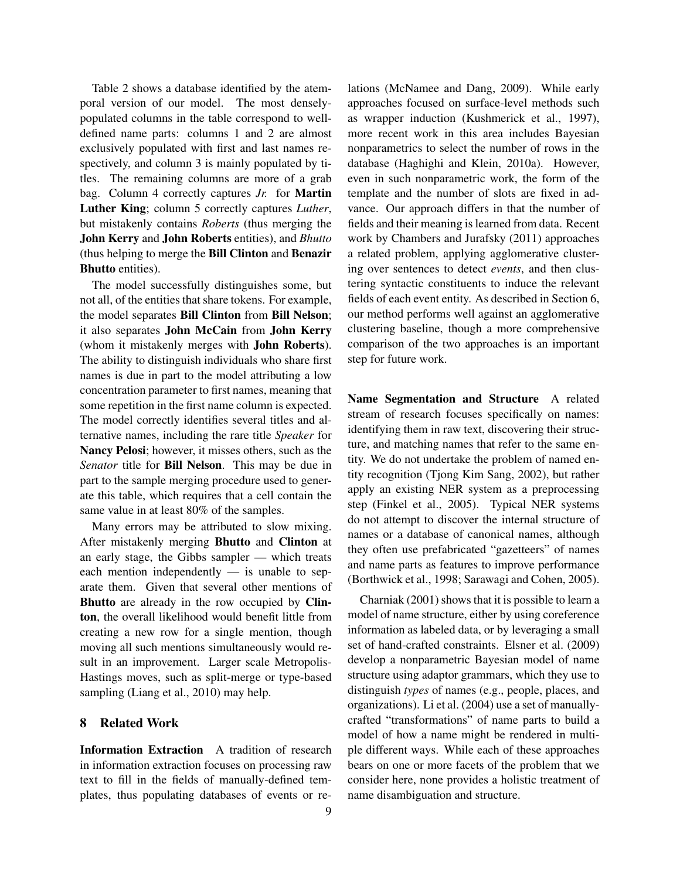Table 2 shows a database identified by the atemporal version of our model. The most denselypopulated columns in the table correspond to welldefined name parts: columns 1 and 2 are almost exclusively populated with first and last names respectively, and column 3 is mainly populated by titles. The remaining columns are more of a grab bag. Column 4 correctly captures *Jr.* for Martin Luther King; column 5 correctly captures *Luther*, but mistakenly contains *Roberts* (thus merging the John Kerry and John Roberts entities), and *Bhutto* (thus helping to merge the Bill Clinton and Benazir **Bhutto** entities).

The model successfully distinguishes some, but not all, of the entities that share tokens. For example, the model separates Bill Clinton from Bill Nelson; it also separates John McCain from John Kerry (whom it mistakenly merges with John Roberts). The ability to distinguish individuals who share first names is due in part to the model attributing a low concentration parameter to first names, meaning that some repetition in the first name column is expected. The model correctly identifies several titles and alternative names, including the rare title *Speaker* for Nancy Pelosi; however, it misses others, such as the *Senator* title for Bill Nelson. This may be due in part to the sample merging procedure used to generate this table, which requires that a cell contain the same value in at least 80% of the samples.

Many errors may be attributed to slow mixing. After mistakenly merging Bhutto and Clinton at an early stage, the Gibbs sampler — which treats each mention independently — is unable to separate them. Given that several other mentions of Bhutto are already in the row occupied by Clinton, the overall likelihood would benefit little from creating a new row for a single mention, though moving all such mentions simultaneously would result in an improvement. Larger scale Metropolis-Hastings moves, such as split-merge or type-based sampling (Liang et al., 2010) may help.

## 8 Related Work

Information Extraction A tradition of research in information extraction focuses on processing raw text to fill in the fields of manually-defined templates, thus populating databases of events or relations (McNamee and Dang, 2009). While early approaches focused on surface-level methods such as wrapper induction (Kushmerick et al., 1997), more recent work in this area includes Bayesian nonparametrics to select the number of rows in the database (Haghighi and Klein, 2010a). However, even in such nonparametric work, the form of the template and the number of slots are fixed in advance. Our approach differs in that the number of fields and their meaning is learned from data. Recent work by Chambers and Jurafsky (2011) approaches a related problem, applying agglomerative clustering over sentences to detect *events*, and then clustering syntactic constituents to induce the relevant fields of each event entity. As described in Section 6, our method performs well against an agglomerative clustering baseline, though a more comprehensive comparison of the two approaches is an important step for future work.

Name Segmentation and Structure A related stream of research focuses specifically on names: identifying them in raw text, discovering their structure, and matching names that refer to the same entity. We do not undertake the problem of named entity recognition (Tjong Kim Sang, 2002), but rather apply an existing NER system as a preprocessing step (Finkel et al., 2005). Typical NER systems do not attempt to discover the internal structure of names or a database of canonical names, although they often use prefabricated "gazetteers" of names and name parts as features to improve performance (Borthwick et al., 1998; Sarawagi and Cohen, 2005).

Charniak (2001) shows that it is possible to learn a model of name structure, either by using coreference information as labeled data, or by leveraging a small set of hand-crafted constraints. Elsner et al. (2009) develop a nonparametric Bayesian model of name structure using adaptor grammars, which they use to distinguish *types* of names (e.g., people, places, and organizations). Li et al. (2004) use a set of manuallycrafted "transformations" of name parts to build a model of how a name might be rendered in multiple different ways. While each of these approaches bears on one or more facets of the problem that we consider here, none provides a holistic treatment of name disambiguation and structure.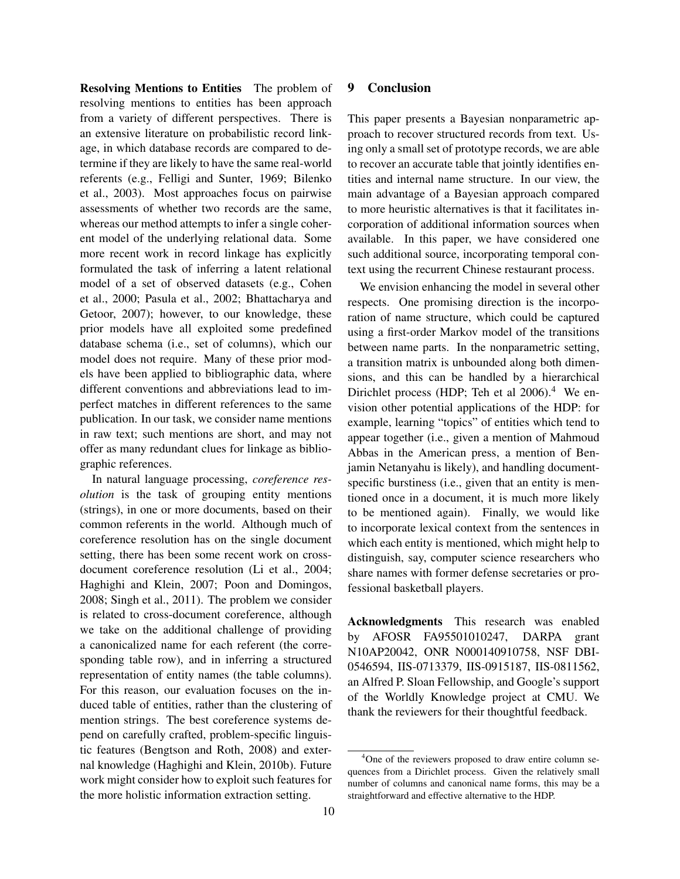Resolving Mentions to Entities The problem of resolving mentions to entities has been approach from a variety of different perspectives. There is an extensive literature on probabilistic record linkage, in which database records are compared to determine if they are likely to have the same real-world referents (e.g., Felligi and Sunter, 1969; Bilenko et al., 2003). Most approaches focus on pairwise assessments of whether two records are the same, whereas our method attempts to infer a single coherent model of the underlying relational data. Some more recent work in record linkage has explicitly formulated the task of inferring a latent relational model of a set of observed datasets (e.g., Cohen et al., 2000; Pasula et al., 2002; Bhattacharya and Getoor, 2007); however, to our knowledge, these prior models have all exploited some predefined database schema (i.e., set of columns), which our model does not require. Many of these prior models have been applied to bibliographic data, where different conventions and abbreviations lead to imperfect matches in different references to the same publication. In our task, we consider name mentions in raw text; such mentions are short, and may not offer as many redundant clues for linkage as bibliographic references.

In natural language processing, *coreference resolution* is the task of grouping entity mentions (strings), in one or more documents, based on their common referents in the world. Although much of coreference resolution has on the single document setting, there has been some recent work on crossdocument coreference resolution (Li et al., 2004; Haghighi and Klein, 2007; Poon and Domingos, 2008; Singh et al., 2011). The problem we consider is related to cross-document coreference, although we take on the additional challenge of providing a canonicalized name for each referent (the corresponding table row), and in inferring a structured representation of entity names (the table columns). For this reason, our evaluation focuses on the induced table of entities, rather than the clustering of mention strings. The best coreference systems depend on carefully crafted, problem-specific linguistic features (Bengtson and Roth, 2008) and external knowledge (Haghighi and Klein, 2010b). Future work might consider how to exploit such features for the more holistic information extraction setting.

### 9 Conclusion

This paper presents a Bayesian nonparametric approach to recover structured records from text. Using only a small set of prototype records, we are able to recover an accurate table that jointly identifies entities and internal name structure. In our view, the main advantage of a Bayesian approach compared to more heuristic alternatives is that it facilitates incorporation of additional information sources when available. In this paper, we have considered one such additional source, incorporating temporal context using the recurrent Chinese restaurant process.

We envision enhancing the model in several other respects. One promising direction is the incorporation of name structure, which could be captured using a first-order Markov model of the transitions between name parts. In the nonparametric setting, a transition matrix is unbounded along both dimensions, and this can be handled by a hierarchical Dirichlet process (HDP; Teh et al  $2006$ ).<sup>4</sup> We envision other potential applications of the HDP: for example, learning "topics" of entities which tend to appear together (i.e., given a mention of Mahmoud Abbas in the American press, a mention of Benjamin Netanyahu is likely), and handling documentspecific burstiness (i.e., given that an entity is mentioned once in a document, it is much more likely to be mentioned again). Finally, we would like to incorporate lexical context from the sentences in which each entity is mentioned, which might help to distinguish, say, computer science researchers who share names with former defense secretaries or professional basketball players.

Acknowledgments This research was enabled by AFOSR FA95501010247, DARPA grant N10AP20042, ONR N000140910758, NSF DBI-0546594, IIS-0713379, IIS-0915187, IIS-0811562, an Alfred P. Sloan Fellowship, and Google's support of the Worldly Knowledge project at CMU. We thank the reviewers for their thoughtful feedback.

<sup>&</sup>lt;sup>4</sup>One of the reviewers proposed to draw entire column sequences from a Dirichlet process. Given the relatively small number of columns and canonical name forms, this may be a straightforward and effective alternative to the HDP.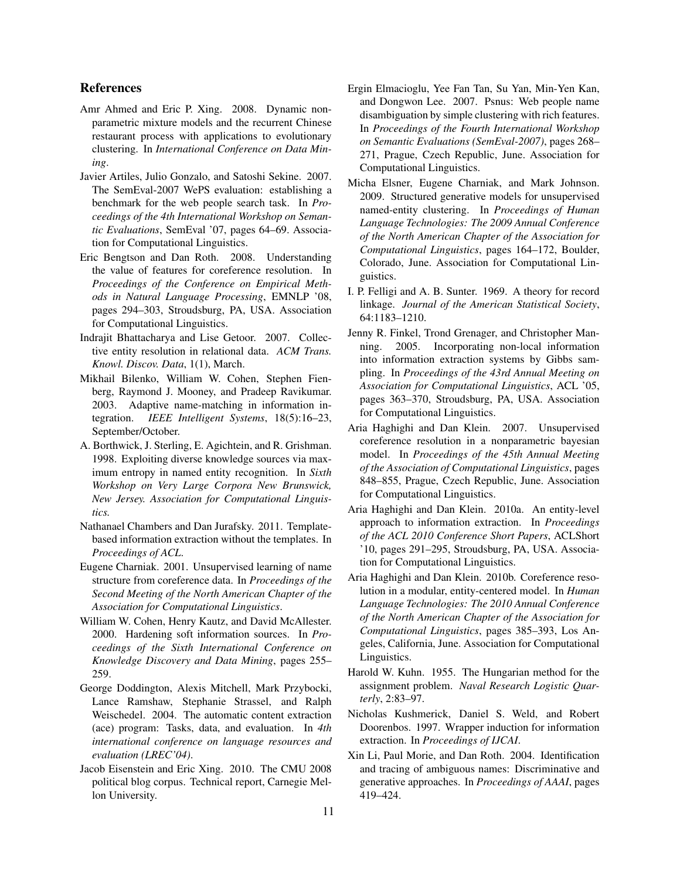## References

- Amr Ahmed and Eric P. Xing. 2008. Dynamic nonparametric mixture models and the recurrent Chinese restaurant process with applications to evolutionary clustering. In *International Conference on Data Mining*.
- Javier Artiles, Julio Gonzalo, and Satoshi Sekine. 2007. The SemEval-2007 WePS evaluation: establishing a benchmark for the web people search task. In *Proceedings of the 4th International Workshop on Semantic Evaluations*, SemEval '07, pages 64–69. Association for Computational Linguistics.
- Eric Bengtson and Dan Roth. 2008. Understanding the value of features for coreference resolution. In *Proceedings of the Conference on Empirical Methods in Natural Language Processing*, EMNLP '08, pages 294–303, Stroudsburg, PA, USA. Association for Computational Linguistics.
- Indrajit Bhattacharya and Lise Getoor. 2007. Collective entity resolution in relational data. *ACM Trans. Knowl. Discov. Data*, 1(1), March.
- Mikhail Bilenko, William W. Cohen, Stephen Fienberg, Raymond J. Mooney, and Pradeep Ravikumar. 2003. Adaptive name-matching in information integration. *IEEE Intelligent Systems*, 18(5):16–23, September/October.
- A. Borthwick, J. Sterling, E. Agichtein, and R. Grishman. 1998. Exploiting diverse knowledge sources via maximum entropy in named entity recognition. In *Sixth Workshop on Very Large Corpora New Brunswick, New Jersey. Association for Computational Linguistics.*
- Nathanael Chambers and Dan Jurafsky. 2011. Templatebased information extraction without the templates. In *Proceedings of ACL*.
- Eugene Charniak. 2001. Unsupervised learning of name structure from coreference data. In *Proceedings of the Second Meeting of the North American Chapter of the Association for Computational Linguistics*.
- William W. Cohen, Henry Kautz, and David McAllester. 2000. Hardening soft information sources. In *Proceedings of the Sixth International Conference on Knowledge Discovery and Data Mining*, pages 255– 259.
- George Doddington, Alexis Mitchell, Mark Przybocki, Lance Ramshaw, Stephanie Strassel, and Ralph Weischedel. 2004. The automatic content extraction (ace) program: Tasks, data, and evaluation. In *4th international conference on language resources and evaluation (LREC'04)*.
- Jacob Eisenstein and Eric Xing. 2010. The CMU 2008 political blog corpus. Technical report, Carnegie Mellon University.
- Ergin Elmacioglu, Yee Fan Tan, Su Yan, Min-Yen Kan, and Dongwon Lee. 2007. Psnus: Web people name disambiguation by simple clustering with rich features. In *Proceedings of the Fourth International Workshop on Semantic Evaluations (SemEval-2007)*, pages 268– 271, Prague, Czech Republic, June. Association for Computational Linguistics.
- Micha Elsner, Eugene Charniak, and Mark Johnson. 2009. Structured generative models for unsupervised named-entity clustering. In *Proceedings of Human Language Technologies: The 2009 Annual Conference of the North American Chapter of the Association for Computational Linguistics*, pages 164–172, Boulder, Colorado, June. Association for Computational Linguistics.
- I. P. Felligi and A. B. Sunter. 1969. A theory for record linkage. *Journal of the American Statistical Society*, 64:1183–1210.
- Jenny R. Finkel, Trond Grenager, and Christopher Manning. 2005. Incorporating non-local information into information extraction systems by Gibbs sampling. In *Proceedings of the 43rd Annual Meeting on Association for Computational Linguistics*, ACL '05, pages 363–370, Stroudsburg, PA, USA. Association for Computational Linguistics.
- Aria Haghighi and Dan Klein. 2007. Unsupervised coreference resolution in a nonparametric bayesian model. In *Proceedings of the 45th Annual Meeting of the Association of Computational Linguistics*, pages 848–855, Prague, Czech Republic, June. Association for Computational Linguistics.
- Aria Haghighi and Dan Klein. 2010a. An entity-level approach to information extraction. In *Proceedings of the ACL 2010 Conference Short Papers*, ACLShort '10, pages 291–295, Stroudsburg, PA, USA. Association for Computational Linguistics.
- Aria Haghighi and Dan Klein. 2010b. Coreference resolution in a modular, entity-centered model. In *Human Language Technologies: The 2010 Annual Conference of the North American Chapter of the Association for Computational Linguistics*, pages 385–393, Los Angeles, California, June. Association for Computational Linguistics.
- Harold W. Kuhn. 1955. The Hungarian method for the assignment problem. *Naval Research Logistic Quarterly*, 2:83–97.
- Nicholas Kushmerick, Daniel S. Weld, and Robert Doorenbos. 1997. Wrapper induction for information extraction. In *Proceedings of IJCAI*.
- Xin Li, Paul Morie, and Dan Roth. 2004. Identification and tracing of ambiguous names: Discriminative and generative approaches. In *Proceedings of AAAI*, pages 419–424.